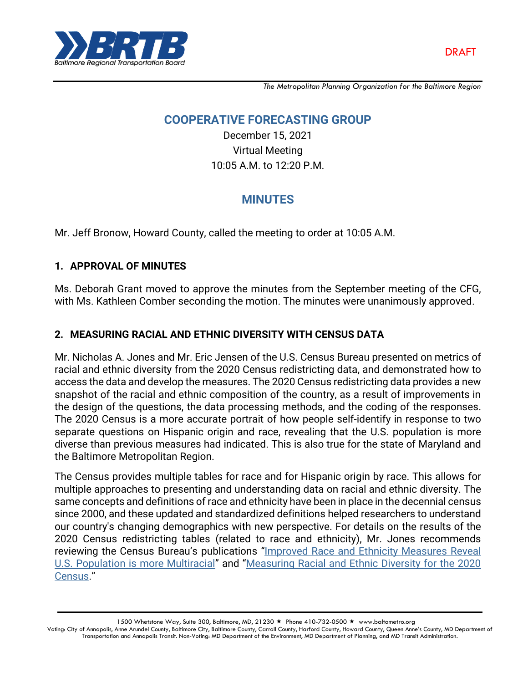

*The Metropolitan Planning Organization for the Baltimore Region*

## **COOPERATIVE FORECASTING GROUP**

December 15, 2021 Virtual Meeting 10:05 A.M. to 12:20 P.M.

# **MINUTES**

Mr. Jeff Bronow, Howard County, called the meeting to order at 10:05 A.M.

## **1. APPROVAL OF MINUTES**

Ms. Deborah Grant moved to approve the minutes from the September meeting of the CFG, with Ms. Kathleen Comber seconding the motion. The minutes were unanimously approved.

## **2. MEASURING RACIAL AND ETHNIC DIVERSITY WITH CENSUS DATA**

Mr. Nicholas A. Jones and Mr. Eric Jensen of the U.S. Census Bureau presented on metrics of racial and ethnic diversity from the 2020 Census redistricting data, and demonstrated how to access the data and develop the measures. The 2020 Census redistricting data provides a new snapshot of the racial and ethnic composition of the country, as a result of improvements in the design of the questions, the data processing methods, and the coding of the responses. The 2020 Census is a more accurate portrait of how people self-identify in response to two separate questions on Hispanic origin and race, revealing that the U.S. population is more diverse than previous measures had indicated. This is also true for the state of Maryland and the Baltimore Metropolitan Region.

The Census provides multiple tables for race and for Hispanic origin by race. This allows for multiple approaches to presenting and understanding data on racial and ethnic diversity. The same concepts and definitions of race and ethnicity have been in place in the decennial census since 2000, and these updated and standardized definitions helped researchers to understand our country's changing demographics with new perspective. For details on the results of the 2020 Census redistricting tables (related to race and ethnicity), Mr. Jones recommends reviewing the Census Bureau's publications "[Improved Race and Ethnicity Measures Reveal](https://www.census.gov/library/stories/2021/08/improved-race-ethnicity-measures-reveal-united-states-population-much-more-multiracial.html)  [U.S. Population is more Multiracial](https://www.census.gov/library/stories/2021/08/improved-race-ethnicity-measures-reveal-united-states-population-much-more-multiracial.html)" and "[Measuring Racial and Ethnic Diversity for the 2020](https://www.census.gov/newsroom/blogs/random-samplings/2021/08/measuring-racial-ethnic-diversity-2020-census.html)  [Census.](https://www.census.gov/newsroom/blogs/random-samplings/2021/08/measuring-racial-ethnic-diversity-2020-census.html)"

1500 Whetstone Way, Suite 300, Baltimore, MD, 21230 ★ Phone 410-732-0500 ★ www.baltometro.org Voting: City of Annapolis, Anne Arundel County, Baltimore City, Baltimore County, Carroll County, Harford County, Howard County, Queen Anne's County, MD Department of Transportation and Annapolis Transit. Non-Voting: MD Department of the Environment, MD Department of Planning, and MD Transit Administration.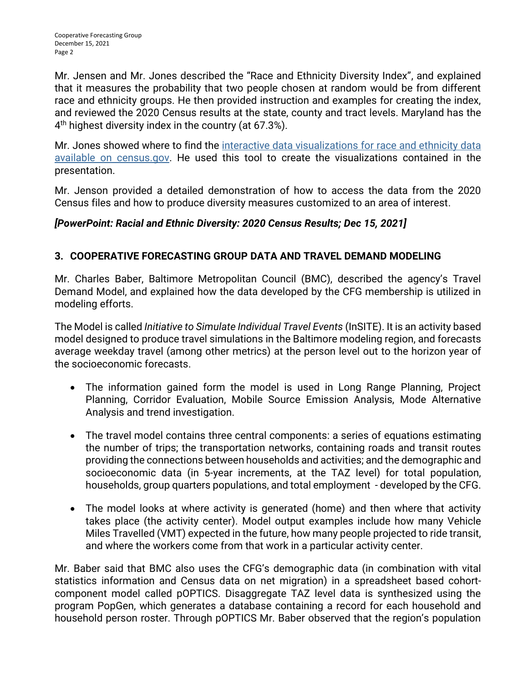Mr. Jensen and Mr. Jones described the "Race and Ethnicity Diversity Index", and explained that it measures the probability that two people chosen at random would be from different race and ethnicity groups. He then provided instruction and examples for creating the index, and reviewed the 2020 Census results at the state, county and tract levels. Maryland has the 4 th highest diversity index in the country (at 67.3%).

Mr. Jones showed where to find the [interactive data visualizations for race and ethnicity data](https://www.census.gov/library/visualizations/interactive/racial-and-ethnic-diversity-in-the-united-states-2010-and-2020-census.html)  [available on census.gov.](https://www.census.gov/library/visualizations/interactive/racial-and-ethnic-diversity-in-the-united-states-2010-and-2020-census.html) He used this tool to create the visualizations contained in the presentation.

Mr. Jenson provided a detailed demonstration of how to access the data from the 2020 Census files and how to produce diversity measures customized to an area of interest.

## *[PowerPoint: Racial and Ethnic Diversity: 2020 Census Results; Dec 15, 2021]*

## **3. COOPERATIVE FORECASTING GROUP DATA AND TRAVEL DEMAND MODELING**

Mr. Charles Baber, Baltimore Metropolitan Council (BMC), described the agency's Travel Demand Model, and explained how the data developed by the CFG membership is utilized in modeling efforts.

The Model is called *Initiative to Simulate Individual Travel Events* (InSITE). It is an activity based model designed to produce travel simulations in the Baltimore modeling region, and forecasts average weekday travel (among other metrics) at the person level out to the horizon year of the socioeconomic forecasts.

- The information gained form the model is used in Long Range Planning, Project Planning, Corridor Evaluation, Mobile Source Emission Analysis, Mode Alternative Analysis and trend investigation.
- The travel model contains three central components: a series of equations estimating the number of trips; the transportation networks, containing roads and transit routes providing the connections between households and activities; and the demographic and socioeconomic data (in 5-year increments, at the TAZ level) for total population, households, group quarters populations, and total employment - developed by the CFG.
- The model looks at where activity is generated (home) and then where that activity takes place (the activity center). Model output examples include how many Vehicle Miles Travelled (VMT) expected in the future, how many people projected to ride transit, and where the workers come from that work in a particular activity center.

Mr. Baber said that BMC also uses the CFG's demographic data (in combination with vital statistics information and Census data on net migration) in a spreadsheet based cohortcomponent model called pOPTICS. Disaggregate TAZ level data is synthesized using the program PopGen, which generates a database containing a record for each household and household person roster. Through pOPTICS Mr. Baber observed that the region's population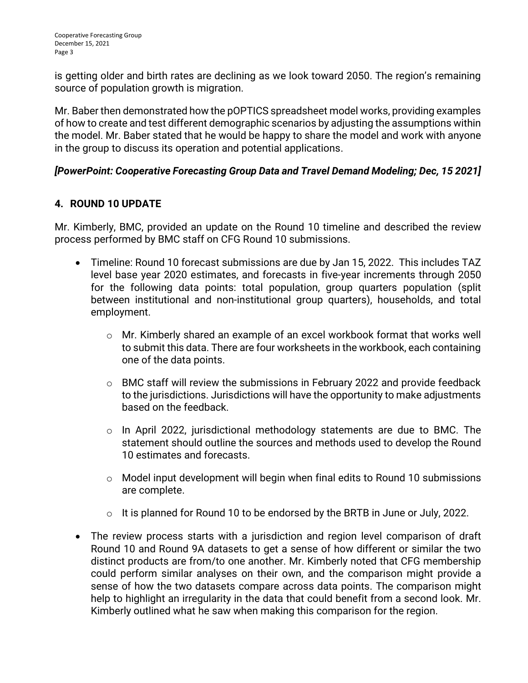is getting older and birth rates are declining as we look toward 2050. The region's remaining source of population growth is migration.

Mr. Baber then demonstrated how the pOPTICS spreadsheet model works, providing examples of how to create and test different demographic scenarios by adjusting the assumptions within the model. Mr. Baber stated that he would be happy to share the model and work with anyone in the group to discuss its operation and potential applications.

#### *[PowerPoint: Cooperative Forecasting Group Data and Travel Demand Modeling; Dec, 15 2021]*

## **4. ROUND 10 UPDATE**

Mr. Kimberly, BMC, provided an update on the Round 10 timeline and described the review process performed by BMC staff on CFG Round 10 submissions.

- Timeline: Round 10 forecast submissions are due by Jan 15, 2022. This includes TAZ level base year 2020 estimates, and forecasts in five-year increments through 2050 for the following data points: total population, group quarters population (split between institutional and non-institutional group quarters), households, and total employment.
	- o Mr. Kimberly shared an example of an excel workbook format that works well to submit this data. There are four worksheets in the workbook, each containing one of the data points.
	- o BMC staff will review the submissions in February 2022 and provide feedback to the jurisdictions. Jurisdictions will have the opportunity to make adjustments based on the feedback.
	- o In April 2022, jurisdictional methodology statements are due to BMC. The statement should outline the sources and methods used to develop the Round 10 estimates and forecasts.
	- o Model input development will begin when final edits to Round 10 submissions are complete.
	- o It is planned for Round 10 to be endorsed by the BRTB in June or July, 2022.
- The review process starts with a jurisdiction and region level comparison of draft Round 10 and Round 9A datasets to get a sense of how different or similar the two distinct products are from/to one another. Mr. Kimberly noted that CFG membership could perform similar analyses on their own, and the comparison might provide a sense of how the two datasets compare across data points. The comparison might help to highlight an irregularity in the data that could benefit from a second look. Mr. Kimberly outlined what he saw when making this comparison for the region.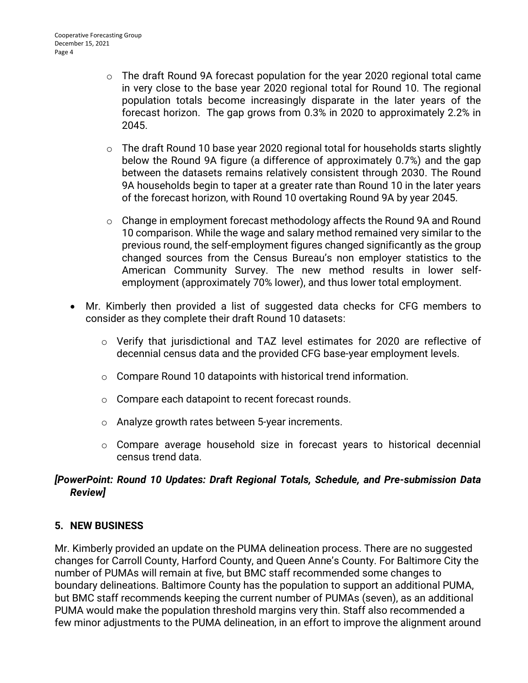- o The draft Round 9A forecast population for the year 2020 regional total came in very close to the base year 2020 regional total for Round 10. The regional population totals become increasingly disparate in the later years of the forecast horizon. The gap grows from 0.3% in 2020 to approximately 2.2% in 2045.
- $\circ$  The draft Round 10 base year 2020 regional total for households starts slightly below the Round 9A figure (a difference of approximately 0.7%) and the gap between the datasets remains relatively consistent through 2030. The Round 9A households begin to taper at a greater rate than Round 10 in the later years of the forecast horizon, with Round 10 overtaking Round 9A by year 2045.
- $\circ$  Change in employment forecast methodology affects the Round 9A and Round 10 comparison. While the wage and salary method remained very similar to the previous round, the self-employment figures changed significantly as the group changed sources from the Census Bureau's non employer statistics to the American Community Survey. The new method results in lower selfemployment (approximately 70% lower), and thus lower total employment.
- Mr. Kimberly then provided a list of suggested data checks for CFG members to consider as they complete their draft Round 10 datasets:
	- o Verify that jurisdictional and TAZ level estimates for 2020 are reflective of decennial census data and the provided CFG base-year employment levels.
	- o Compare Round 10 datapoints with historical trend information.
	- o Compare each datapoint to recent forecast rounds.
	- o Analyze growth rates between 5-year increments.
	- o Compare average household size in forecast years to historical decennial census trend data.

#### *[PowerPoint: Round 10 Updates: Draft Regional Totals, Schedule, and Pre-submission Data Review]*

#### **5. NEW BUSINESS**

Mr. Kimberly provided an update on the PUMA delineation process. There are no suggested changes for Carroll County, Harford County, and Queen Anne's County. For Baltimore City the number of PUMAs will remain at five, but BMC staff recommended some changes to boundary delineations. Baltimore County has the population to support an additional PUMA, but BMC staff recommends keeping the current number of PUMAs (seven), as an additional PUMA would make the population threshold margins very thin. Staff also recommended a few minor adjustments to the PUMA delineation, in an effort to improve the alignment around